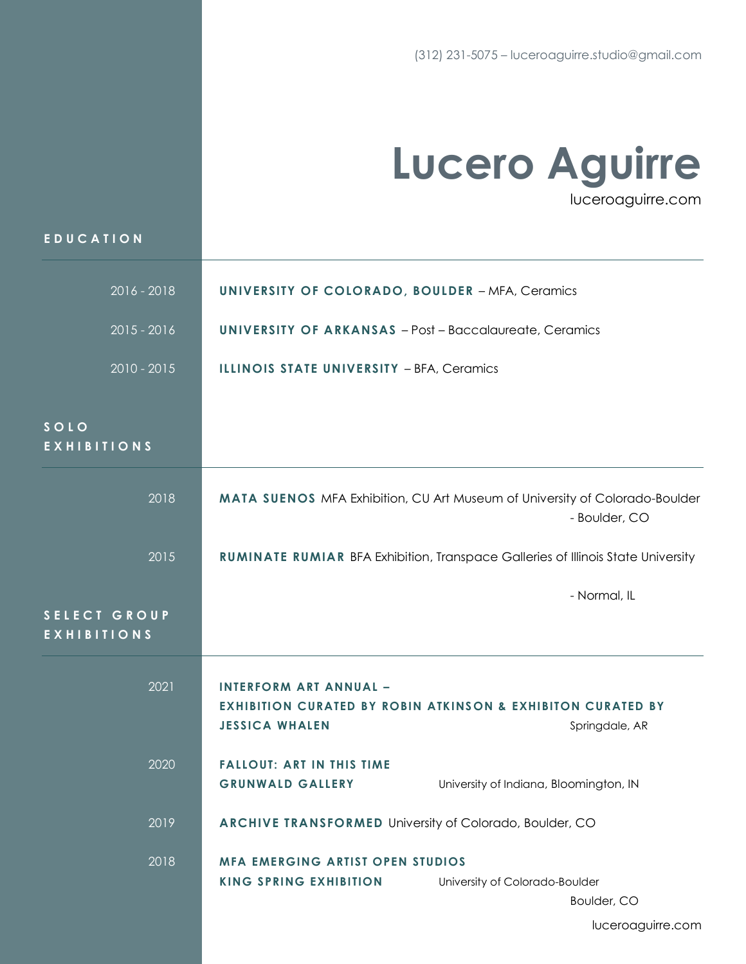## **Lucero Aguirre** luceroaguirre.com

| EDUCATION                          |                                                                          |                                                                                              |
|------------------------------------|--------------------------------------------------------------------------|----------------------------------------------------------------------------------------------|
| 2016 - 2018                        | <b>UNIVERSITY OF COLORADO, BOULDER - MFA, Ceramics</b>                   |                                                                                              |
| $2015 - 2016$                      | <b>UNIVERSITY OF ARKANSAS</b> - Post - Baccalaureate, Ceramics           |                                                                                              |
| $2010 - 2015$                      | ILLINOIS STATE UNIVERSITY - BFA, Ceramics                                |                                                                                              |
| SOLO<br><b>EXHIBITIONS</b>         |                                                                          |                                                                                              |
| 2018                               |                                                                          | MATA SUENOS MFA Exhibition, CU Art Museum of University of Colorado-Boulder<br>- Boulder, CO |
| 2015                               |                                                                          | <b>RUMINATE RUMIAR BFA Exhibition, Transpace Galleries of Illinois State University</b>      |
| SELECT GROUP<br><b>EXHIBITIONS</b> |                                                                          | - Normal, IL                                                                                 |
| 2021                               | <b>INTERFORM ART ANNUAL -</b><br><b>JESSICA WHALEN</b>                   | <b>EXHIBITION CURATED BY ROBIN ATKINSON &amp; EXHIBITON CURATED BY</b><br>Springdale, AR     |
| 2020                               | <b>FALLOUT: ART IN THIS TIME</b><br><b>GRUNWALD GALLERY</b>              | University of Indiana, Bloomington, IN                                                       |
| 2019                               | <b>ARCHIVE TRANSFORMED University of Colorado, Boulder, CO</b>           |                                                                                              |
| 2018                               | <b>MFA EMERGING ARTIST OPEN STUDIOS</b><br><b>KING SPRING EXHIBITION</b> | University of Colorado-Boulder<br>Boulder, CO                                                |

luceroaguirre.com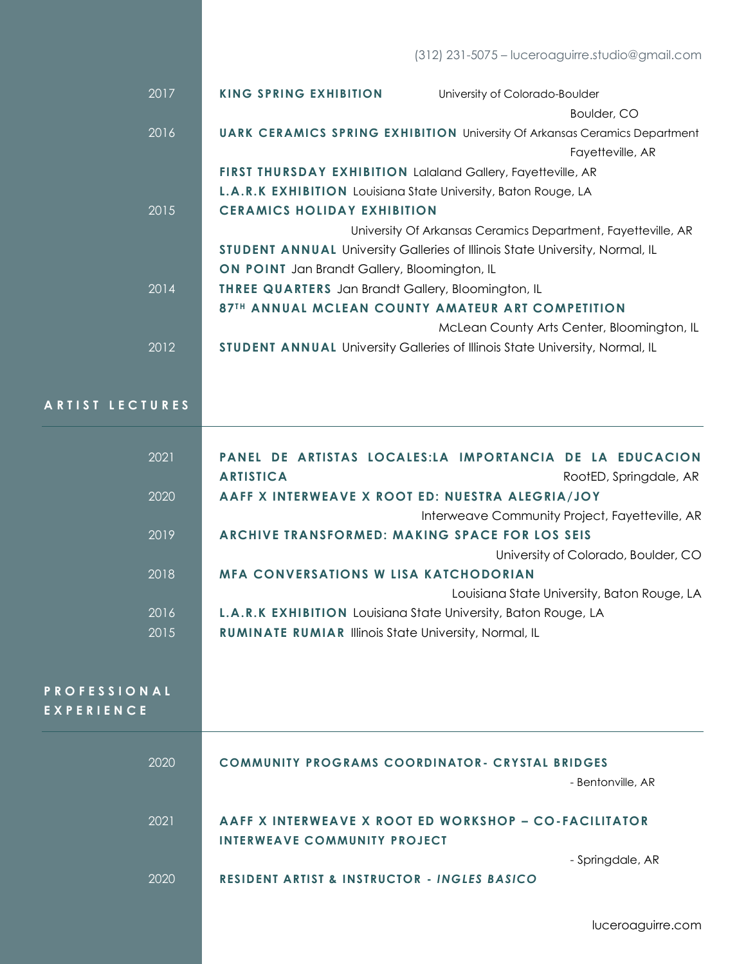| 2017 | <b>KING SPRING EXHIBITION</b>                                         | University of Colorado-Boulder                                                      |
|------|-----------------------------------------------------------------------|-------------------------------------------------------------------------------------|
|      |                                                                       | Boulder, CO                                                                         |
| 2016 |                                                                       | <b>UARK CERAMICS SPRING EXHIBITION University Of Arkansas Ceramics Department</b>   |
|      |                                                                       | Fayetteville, AR                                                                    |
|      | <b>FIRST THURSDAY EXHIBITION Lalaland Gallery, Fayetteville, AR</b>   |                                                                                     |
|      | <b>L.A.R.K EXHIBITION</b> Louisiana State University, Baton Rouge, LA |                                                                                     |
| 2015 | <b>CERAMICS HOLIDAY EXHIBITION</b>                                    |                                                                                     |
|      |                                                                       | University Of Arkansas Ceramics Department, Fayetteville, AR                        |
|      |                                                                       | <b>STUDENT ANNUAL University Galleries of Illinois State University, Normal, IL</b> |
|      | <b>ON POINT</b> Jan Brandt Gallery, Bloomington, IL                   |                                                                                     |
| 2014 | <b>THREE QUARTERS</b> Jan Brandt Gallery, Bloomington, IL             |                                                                                     |
|      |                                                                       | 87TH ANNUAL MCLEAN COUNTY AMATEUR ART COMPETITION                                   |
|      |                                                                       | McLean County Arts Center, Bloomington, IL                                          |
| 2012 |                                                                       | <b>STUDENT ANNUAL University Galleries of Illinois State University, Normal, IL</b> |
|      |                                                                       |                                                                                     |

**A R T I S T L E C T U R E S**

| 2021                | PANEL DE ARTISTAS LOCALES:LA IMPORTANCIA DE LA EDUCACION<br><b>ARTISTICA</b><br>RootED, Springdale, AR |
|---------------------|--------------------------------------------------------------------------------------------------------|
| 2020                | AAFF X INTERWEAVE X ROOT ED: NUESTRA ALEGRIA/JOY                                                       |
|                     | Interweave Community Project, Fayetteville, AR                                                         |
| 2019                | ARCHIVE TRANSFORMED: MAKING SPACE FOR LOS SEIS                                                         |
|                     | University of Colorado, Boulder, CO                                                                    |
| 2018                | <b>MFA CONVERSATIONS W LISA KATCHODORIAN</b>                                                           |
|                     | Louisiana State University, Baton Rouge, LA                                                            |
| 2016                | L.A.R.K EXHIBITION Louisiana State University, Baton Rouge, LA                                         |
| 2015                | <b>RUMINATE RUMIAR Illinois State University, Normal, IL</b>                                           |
|                     |                                                                                                        |
|                     |                                                                                                        |
|                     |                                                                                                        |
| <b>PROFESSIONAL</b> |                                                                                                        |
|                     |                                                                                                        |
| <b>EXPERIENCE</b>   |                                                                                                        |
| 2020                | <b>COMMUNITY PROGRAMS COORDINATOR- CRYSTAL BRIDGES</b>                                                 |
|                     | - Bentonville, AR                                                                                      |
|                     |                                                                                                        |
| 2021                | AAFF X INTERWEAVE X ROOT ED WORKSHOP – CO-FACILITATOR                                                  |
|                     | INTERWEAVE COMMUNITY PROJECT                                                                           |
|                     | - Springdale, AR                                                                                       |
| 2020                | <b>RESIDENT ARTIST &amp; INSTRUCTOR - INGLES BASICO</b>                                                |

luceroaguirre.com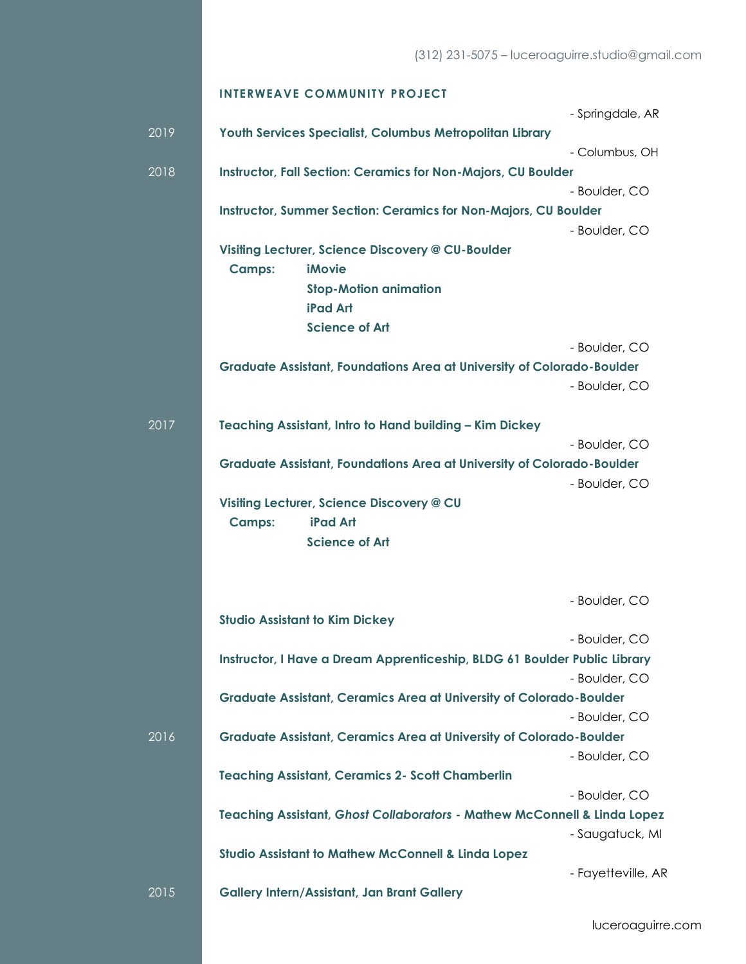|      | <b>INTERWEAVE COMMUNITY PROJECT</b>                                                            |
|------|------------------------------------------------------------------------------------------------|
|      | - Springdale, AR                                                                               |
| 2019 | Youth Services Specialist, Columbus Metropolitan Library                                       |
|      | - Columbus, OH                                                                                 |
| 2018 | <b>Instructor, Fall Section: Ceramics for Non-Majors, CU Boulder</b>                           |
|      | - Boulder, CO                                                                                  |
|      | <b>Instructor, Summer Section: Ceramics for Non-Majors, CU Boulder</b>                         |
|      | - Boulder, CO                                                                                  |
|      | Visiting Lecturer, Science Discovery @ CU-Boulder                                              |
|      | <b>iMovie</b><br><b>Camps:</b>                                                                 |
|      | <b>Stop-Motion animation</b>                                                                   |
|      | <b>iPad Art</b>                                                                                |
|      | <b>Science of Art</b>                                                                          |
|      | - Boulder, CO                                                                                  |
|      | <b>Graduate Assistant, Foundations Area at University of Colorado-Boulder</b><br>- Boulder, CO |
|      |                                                                                                |
| 2017 | Teaching Assistant, Intro to Hand building - Kim Dickey                                        |
|      | - Boulder, CO                                                                                  |
|      | <b>Graduate Assistant, Foundations Area at University of Colorado-Boulder</b>                  |
|      | - Boulder, CO                                                                                  |
|      | Visiting Lecturer, Science Discovery @ CU                                                      |
|      | <b>iPad Art</b><br><b>Camps:</b>                                                               |
|      | <b>Science of Art</b>                                                                          |
|      |                                                                                                |
|      |                                                                                                |
|      | - Boulder, CO                                                                                  |
|      | <b>Studio Assistant to Kim Dickey</b>                                                          |
|      | - Boulder, CO                                                                                  |
|      | Instructor, I Have a Dream Apprenticeship, BLDG 61 Boulder Public Library                      |
|      | - Boulder, CO                                                                                  |
|      | <b>Graduate Assistant, Ceramics Area at University of Colorado-Boulder</b>                     |
|      | - Boulder, CO                                                                                  |
| 2016 | <b>Graduate Assistant, Ceramics Area at University of Colorado-Boulder</b>                     |
|      | - Boulder, CO<br><b>Teaching Assistant, Ceramics 2- Scott Chamberlin</b>                       |
|      | - Boulder, CO                                                                                  |
|      | Teaching Assistant, Ghost Collaborators - Mathew McConnell & Linda Lopez                       |
|      | - Saugatuck, MI                                                                                |
|      | <b>Studio Assistant to Mathew McConnell &amp; Linda Lopez</b>                                  |
|      | - Fayetteville, AR                                                                             |
| 2015 | <b>Gallery Intern/Assistant, Jan Brant Gallery</b>                                             |

luceroaguirre.com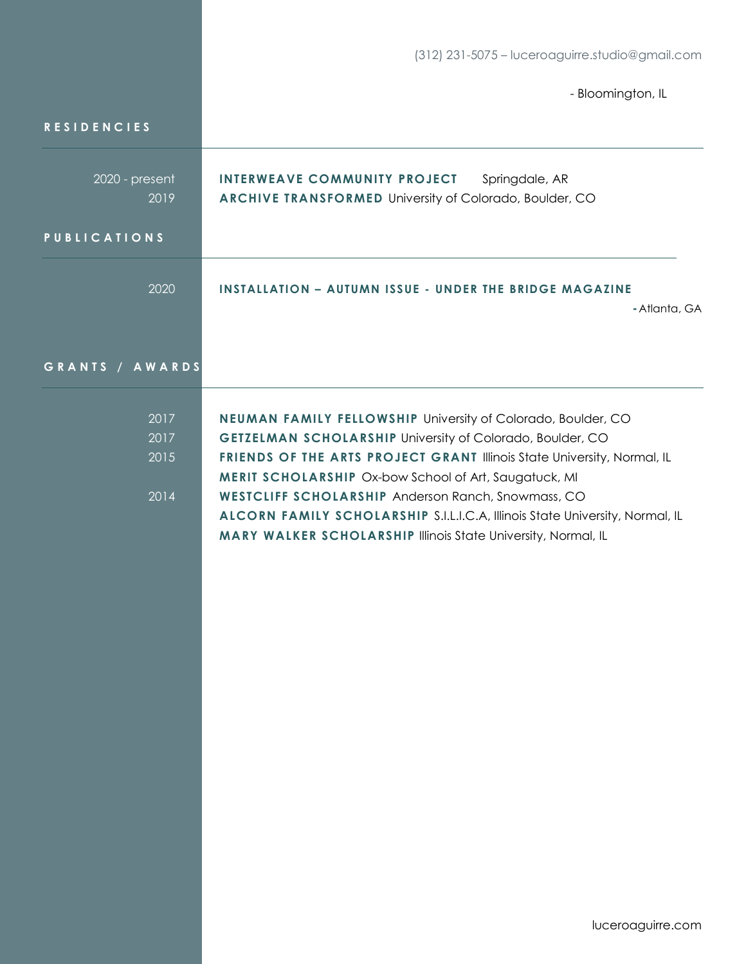|                              | (312) 231-5075 - luceroaguirre.studio@gmail.com                                                                                                                                                                                                                                                                                                                                                                                                                                    |  |
|------------------------------|------------------------------------------------------------------------------------------------------------------------------------------------------------------------------------------------------------------------------------------------------------------------------------------------------------------------------------------------------------------------------------------------------------------------------------------------------------------------------------|--|
|                              | - Bloomington, IL                                                                                                                                                                                                                                                                                                                                                                                                                                                                  |  |
| <b>RESIDENCIES</b>           |                                                                                                                                                                                                                                                                                                                                                                                                                                                                                    |  |
| 2020 - present<br>2019       | INTERWEAVE COMMUNITY PROJECT<br>Springdale, AR<br><b>ARCHIVE TRANSFORMED University of Colorado, Boulder, CO</b>                                                                                                                                                                                                                                                                                                                                                                   |  |
| <b>PUBLICATIONS</b>          |                                                                                                                                                                                                                                                                                                                                                                                                                                                                                    |  |
| 2020                         | <b>INSTALLATION - AUTUMN ISSUE - UNDER THE BRIDGE MAGAZINE</b><br>- Atlanta, GA                                                                                                                                                                                                                                                                                                                                                                                                    |  |
| GRANTS / AWARDS              |                                                                                                                                                                                                                                                                                                                                                                                                                                                                                    |  |
| 2017<br>2017<br>2015<br>2014 | NEUMAN FAMILY FELLOWSHIP University of Colorado, Boulder, CO<br><b>GETZELMAN SCHOLARSHIP University of Colorado, Boulder, CO</b><br>FRIENDS OF THE ARTS PROJECT GRANT Illinois State University, Normal, IL<br>MERIT SCHOLARSHIP Ox-bow School of Art, Saugatuck, MI<br><b>WESTCLIFF SCHOLARSHIP Anderson Ranch, Snowmass, CO</b><br>ALCORN FAMILY SCHOLARSHIP S.I.L.I.C.A, Illinois State University, Normal, IL<br>MARY WALKER SCHOLARSHIP Illinois State University, Normal, IL |  |